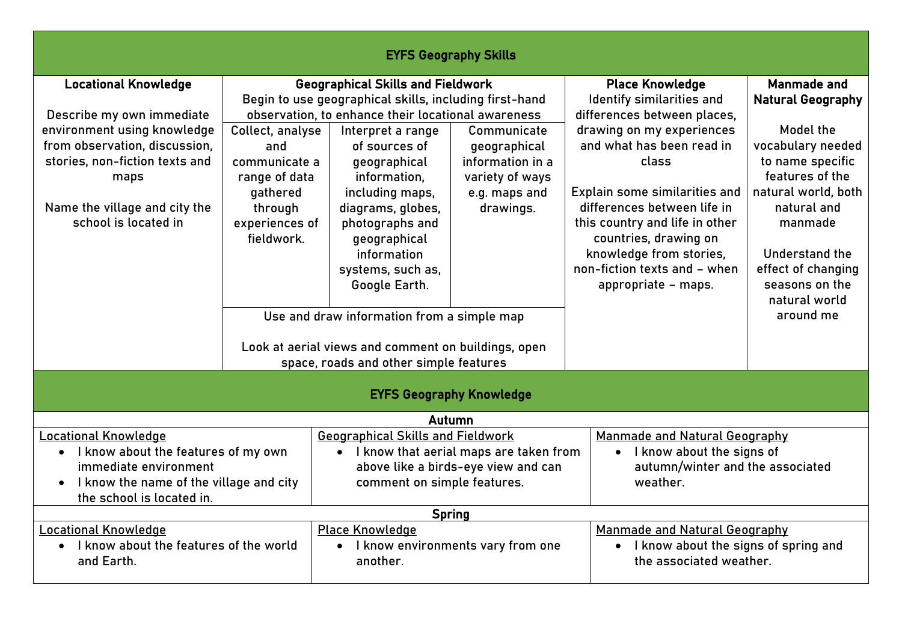| <b>EYFS Geography Skills</b>                                                                                                                                                                                                |                                                                                                                  |                                                                                                                                                                                                                                                                                                                                                                                                              |                                                                                                  |                                                                                                                                                                                                                                                                                                                                                                    |                                                                                                                                                                                                                                                           |  |  |  |
|-----------------------------------------------------------------------------------------------------------------------------------------------------------------------------------------------------------------------------|------------------------------------------------------------------------------------------------------------------|--------------------------------------------------------------------------------------------------------------------------------------------------------------------------------------------------------------------------------------------------------------------------------------------------------------------------------------------------------------------------------------------------------------|--------------------------------------------------------------------------------------------------|--------------------------------------------------------------------------------------------------------------------------------------------------------------------------------------------------------------------------------------------------------------------------------------------------------------------------------------------------------------------|-----------------------------------------------------------------------------------------------------------------------------------------------------------------------------------------------------------------------------------------------------------|--|--|--|
| <b>Locational Knowledge</b><br>Describe my own immediate<br>environment using knowledge<br>from observation, discussion,<br>stories, non-fiction texts and<br>maps<br>Name the village and city the<br>school is located in | Collect, analyse<br>and<br>communicate a<br>range of data<br>gathered<br>through<br>experiences of<br>fieldwork. | <b>Geographical Skills and Fieldwork</b><br>Begin to use geographical skills, including first-hand<br>observation, to enhance their locational awareness<br>Interpret a range<br>of sources of<br>geographical<br>information,<br>including maps,<br>diagrams, globes,<br>photographs and<br>geographical<br>information<br>systems, such as,<br>Google Earth.<br>Use and draw information from a simple map | Communicate<br>geographical<br>information in a<br>variety of ways<br>e.g. maps and<br>drawings. | <b>Place Knowledge</b><br>Identify similarities and<br>differences between places,<br>drawing on my experiences<br>and what has been read in<br>class<br>Explain some similarities and<br>differences between life in<br>this country and life in other<br>countries, drawing on<br>knowledge from stories,<br>non-fiction texts and - when<br>appropriate - maps. | Manmade and<br><b>Natural Geography</b><br>Model the<br>vocabulary needed<br>to name specific<br>features of the<br>natural world, both<br>natural and<br>manmade<br>Understand the<br>effect of changing<br>seasons on the<br>natural world<br>around me |  |  |  |
|                                                                                                                                                                                                                             | Look at aerial views and comment on buildings, open<br>space, roads and other simple features                    |                                                                                                                                                                                                                                                                                                                                                                                                              |                                                                                                  |                                                                                                                                                                                                                                                                                                                                                                    |                                                                                                                                                                                                                                                           |  |  |  |
| <b>EYFS Geography Knowledge</b>                                                                                                                                                                                             |                                                                                                                  |                                                                                                                                                                                                                                                                                                                                                                                                              |                                                                                                  |                                                                                                                                                                                                                                                                                                                                                                    |                                                                                                                                                                                                                                                           |  |  |  |
| <b>Locational Knowledge</b><br>• I know about the features of my own<br>immediate environment<br>I know the name of the village and city<br>$\bullet$<br>the school is located in.                                          |                                                                                                                  | Autumn<br><b>Geographical Skills and Fieldwork</b><br>• I know that aerial maps are taken from<br>above like a birds-eye view and can<br>comment on simple features.                                                                                                                                                                                                                                         |                                                                                                  | Manmade and Natural Geography<br>• I know about the signs of<br>autumn/winter and the associated<br>weather.                                                                                                                                                                                                                                                       |                                                                                                                                                                                                                                                           |  |  |  |
| <b>Locational Knowledge</b><br>I know about the features of the world<br>$\bullet$<br>and Earth.                                                                                                                            |                                                                                                                  | <b>Spring</b><br><b>Place Knowledge</b><br>I know environments vary from one<br>$\bullet$<br>another.                                                                                                                                                                                                                                                                                                        |                                                                                                  | Manmade and Natural Geography<br>I know about the signs of spring and<br>$\bullet$<br>the associated weather.                                                                                                                                                                                                                                                      |                                                                                                                                                                                                                                                           |  |  |  |